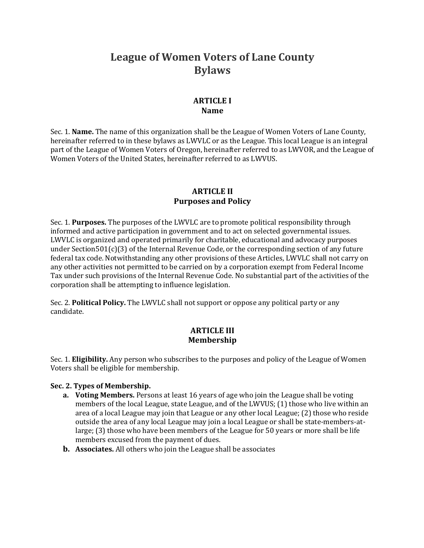# League of Women Voters of Lane County **Bylaws**

### **ARTICLE I Name**

Sec. 1. **Name.** The name of this organization shall be the League of Women Voters of Lane County, hereinafter referred to in these bylaws as LWVLC or as the League. This local League is an integral part of the League of Women Voters of Oregon, hereinafter referred to as LWVOR, and the League of Women Voters of the United States, hereinafter referred to as LWVUS.

# **ARTICLE II Purposes and Policy**

Sec. 1. **Purposes.** The purposes of the LWVLC are to promote political responsibility through informed and active participation in government and to act on selected governmental issues. LWVLC is organized and operated primarily for charitable, educational and advocacy purposes under Section501(c)(3) of the Internal Revenue Code, or the corresponding section of any future federal tax code. Notwithstanding any other provisions of these Articles, LWVLC shall not carry on any other activities not permitted to be carried on by a corporation exempt from Federal Income Tax under such provisions of the Internal Revenue Code. No substantial part of the activities of the corporation shall be attempting to influence legislation.

Sec. 2. **Political Policy.** The LWVLC shall not support or oppose any political party or any candidate.

# **ARTICLE III Membership**

Sec. 1. **Eligibility.** Any person who subscribes to the purposes and policy of the League of Women Voters shall be eligible for membership.

#### **Sec. 2. Types of Membership.**

- **a. Voting Members.** Persons at least 16 years of age who join the League shall be voting members of the local League, state League, and of the LWVUS; (1) those who live within an area of a local League may join that League or any other local League;  $(2)$  those who reside outside the area of any local League may join a local League or shall be state-members-atlarge;  $(3)$  those who have been members of the League for 50 years or more shall be life members excused from the payment of dues.
- **b.** Associates. All others who join the League shall be associates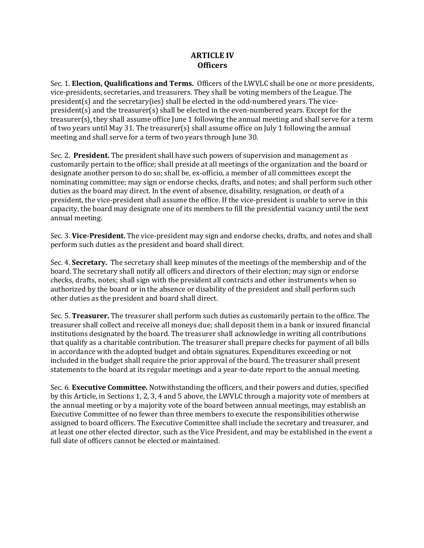#### **ARTICLE IV Officers**

Sec. 1. **Election, Qualifications and Terms.** Officers of the LWVLC shall be one or more presidents, vice-presidents, secretaries, and treasurers. They shall be voting members of the League. The  $president(s)$  and the secretary(ies) shall be elected in the odd-numbered years. The vicepresident(s) and the treasurer(s) shall be elected in the even-numbered years. Except for the treasurer(s), they shall assume office June 1 following the annual meeting and shall serve for a term of two years until May 31. The treasurer(s) shall assume office on July 1 following the annual meeting and shall serve for a term of two years through June 30.

Sec. 2. **President.** The president shall have such powers of supervision and management as customarily pertain to the office; shall preside at all meetings of the organization and the board or designate another person to do so; shall be, ex-officio, a member of all committees except the nominating committee; may sign or endorse checks, drafts, and notes; and shall perform such other duties as the board may direct. In the event of absence, disability, resignation, or death of a president, the vice-president shall assume the office. If the vice-president is unable to serve in this capacity, the board may designate one of its members to fill the presidential vacancy until the next annual meeting.

Sec. 3. Vice-President. The vice-president may sign and endorse checks, drafts, and notes and shall perform such duties as the president and board shall direct.

Sec. 4. **Secretary.** The secretary shall keep minutes of the meetings of the membership and of the board. The secretary shall notify all officers and directors of their election; may sign or endorse checks, drafts, notes; shall sign with the president all contracts and other instruments when so authorized by the board or in the absence or disability of the president and shall perform such other duties as the president and board shall direct.

Sec. 5. **Treasurer.** The treasurer shall perform such duties as customarily pertain to the office. The treasurer shall collect and receive all moneys due; shall deposit them in a bank or insured financial institutions designated by the board. The treasurer shall acknowledge in writing all contributions that qualify as a charitable contribution. The treasurer shall prepare checks for payment of all bills in accordance with the adopted budget and obtain signatures. Expenditures exceeding or not included in the budget shall require the prior approval of the board. The treasurer shall present statements to the board at its regular meetings and a year-to-date report to the annual meeting.

Sec. 6. **Executive Committee.** Notwithstanding the officers, and their powers and duties, specified by this Article, in Sections 1, 2, 3, 4 and 5 above, the LWVLC through a majority vote of members at the annual meeting or by a majority vote of the board between annual meetings, may establish an Executive Committee of no fewer than three members to execute the responsibilities otherwise assigned to board officers. The Executive Committee shall include the secretary and treasurer, and at least one other elected director, such as the Vice President, and may be established in the event a full slate of officers cannot be elected or maintained.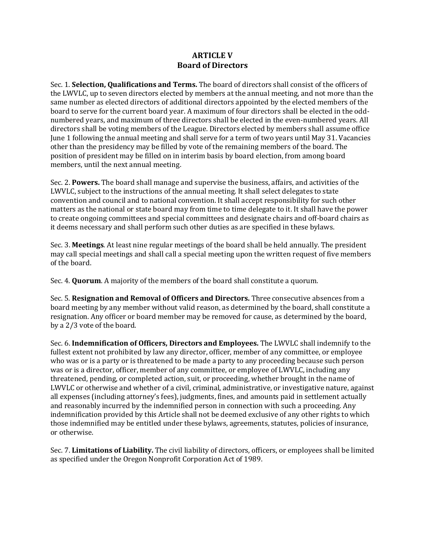#### **ARTICLE V Board of Directors**

Sec. 1. **Selection, Qualifications and Terms.** The board of directors shall consist of the officers of the LWVLC, up to seven directors elected by members at the annual meeting, and not more than the same number as elected directors of additional directors appointed by the elected members of the board to serve for the current board year. A maximum of four directors shall be elected in the oddnumbered years, and maximum of three directors shall be elected in the even-numbered years. All directors shall be voting members of the League. Directors elected by members shall assume office June 1 following the annual meeting and shall serve for a term of two years until May 31. Vacancies other than the presidency may be filled by vote of the remaining members of the board. The position of president may be filled on in interim basis by board election, from among board members, until the next annual meeting.

Sec. 2. **Powers.** The board shall manage and supervise the business, affairs, and activities of the LWVLC, subject to the instructions of the annual meeting. It shall select delegates to state convention and council and to national convention. It shall accept responsibility for such other matters as the national or state board may from time to time delegate to it. It shall have the power to create ongoing committees and special committees and designate chairs and off-board chairs as it deems necessary and shall perform such other duties as are specified in these bylaws.

Sec. 3. **Meetings**. At least nine regular meetings of the board shall be held annually. The president may call special meetings and shall call a special meeting upon the written request of five members of the board.

Sec. 4. **Quorum**. A majority of the members of the board shall constitute a quorum.

Sec. 5. **Resignation and Removal of Officers and Directors.** Three consecutive absences from a board meeting by any member without valid reason, as determined by the board, shall constitute a resignation. Any officer or board member may be removed for cause, as determined by the board, by a 2/3 vote of the board.

**Sec. 6. Indemnification of Officers, Directors and Employees.** The LWVLC shall indemnify to the fullest extent not prohibited by law any director, officer, member of any committee, or employee who was or is a party or is threatened to be made a party to any proceeding because such person was or is a director, officer, member of any committee, or employee of LWVLC, including any threatened, pending, or completed action, suit, or proceeding, whether brought in the name of LWVLC or otherwise and whether of a civil, criminal, administrative, or investigative nature, against all expenses (including attorney's fees), judgments, fines, and amounts paid in settlement actually and reasonably incurred by the indemnified person in connection with such a proceeding. Any indemnification provided by this Article shall not be deemed exclusive of any other rights to which those indemnified may be entitled under these bylaws, agreements, statutes, policies of insurance, or otherwise.

Sec. 7. **Limitations of Liability.** The civil liability of directors, officers, or employees shall be limited as specified under the Oregon Nonprofit Corporation Act of 1989.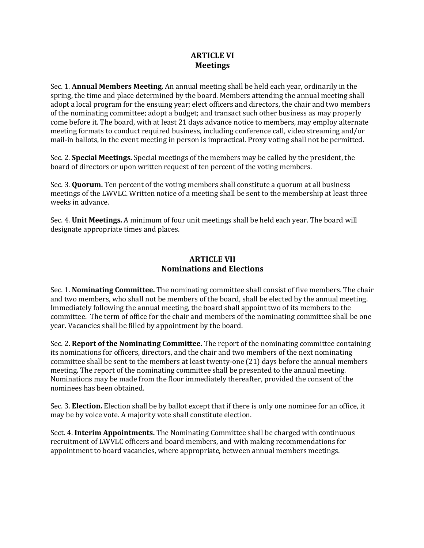# **ARTICLE VI Meetings**

Sec. 1. **Annual Members Meeting.** An annual meeting shall be held each year, ordinarily in the spring, the time and place determined by the board. Members attending the annual meeting shall adopt a local program for the ensuing year; elect officers and directors, the chair and two members of the nominating committee; adopt a budget; and transact such other business as may properly come before it. The board, with at least 21 days advance notice to members, may employ alternate meeting formats to conduct required business, including conference call, video streaming and/or mail-in ballots, in the event meeting in person is impractical. Proxy voting shall not be permitted.

Sec. 2. **Special Meetings.** Special meetings of the members may be called by the president, the board of directors or upon written request of ten percent of the voting members.

Sec. 3. **Quorum.** Ten percent of the voting members shall constitute a quorum at all business meetings of the LWVLC. Written notice of a meeting shall be sent to the membership at least three weeks in advance.

Sec. 4. **Unit Meetings.** A minimum of four unit meetings shall be held each year. The board will designate appropriate times and places.

## **ARTICLE VII Nominations and Elections**

Sec. 1. **Nominating Committee.** The nominating committee shall consist of five members. The chair and two members, who shall not be members of the board, shall be elected by the annual meeting. Immediately following the annual meeting, the board shall appoint two of its members to the committee. The term of office for the chair and members of the nominating committee shall be one year. Vacancies shall be filled by appointment by the board.

**Sec. 2. Report of the Nominating Committee.** The report of the nominating committee containing its nominations for officers, directors, and the chair and two members of the next nominating committee shall be sent to the members at least twenty-one (21) days before the annual members meeting. The report of the nominating committee shall be presented to the annual meeting. Nominations may be made from the floor immediately thereafter, provided the consent of the nominees has been obtained.

Sec. 3. **Election.** Election shall be by ballot except that if there is only one nominee for an office, it may be by voice vote. A majority vote shall constitute election.

Sect. 4. **Interim Appointments.** The Nominating Committee shall be charged with continuous recruitment of LWVLC officers and board members, and with making recommendations for appointment to board vacancies, where appropriate, between annual members meetings.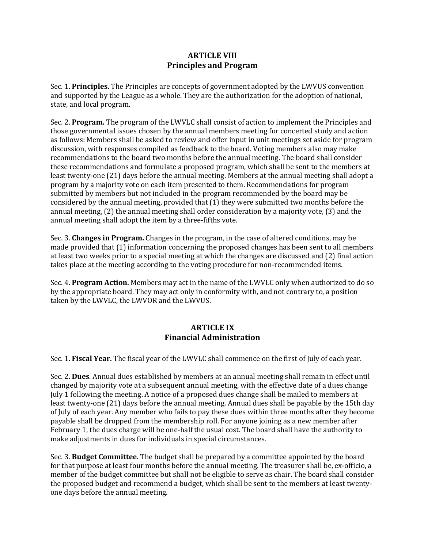# **ARTICLE VIII Principles and Program**

Sec. 1. **Principles.** The Principles are concepts of government adopted by the LWVUS convention and supported by the League as a whole. They are the authorization for the adoption of national, state, and local program.

Sec. 2. **Program.** The program of the LWVLC shall consist of action to implement the Principles and those governmental issues chosen by the annual members meeting for concerted study and action as follows: Members shall be asked to review and offer input in unit meetings set aside for program discussion, with responses compiled as feedback to the board. Voting members also may make recommendations to the board two months before the annual meeting. The board shall consider these recommendations and formulate a proposed program, which shall be sent to the members at least twenty-one (21) days before the annual meeting. Members at the annual meeting shall adopt a program by a majority vote on each item presented to them. Recommendations for program submitted by members but not included in the program recommended by the board may be considered by the annual meeting, provided that  $(1)$  they were submitted two months before the annual meeting,  $(2)$  the annual meeting shall order consideration by a majority vote,  $(3)$  and the annual meeting shall adopt the item by a three-fifths vote.

Sec. 3. **Changes in Program.** Changes in the program, in the case of altered conditions, may be made provided that (1) information concerning the proposed changes has been sent to all members at least two weeks prior to a special meeting at which the changes are discussed and (2) final action takes place at the meeting according to the voting procedure for non-recommended items.

Sec. 4. Program Action. Members may act in the name of the LWVLC only when authorized to do so by the appropriate board. They may act only in conformity with, and not contrary to, a position taken by the LWVLC, the LWVOR and the LWVUS.

# **ARTICLE IX Financial Administration**

Sec. 1. **Fiscal Year.** The fiscal year of the LWVLC shall commence on the first of July of each year.

Sec. 2. **Dues**. Annual dues established by members at an annual meeting shall remain in effect until changed by majority vote at a subsequent annual meeting, with the effective date of a dues change July 1 following the meeting. A notice of a proposed dues change shall be mailed to members at least twenty-one (21) days before the annual meeting. Annual dues shall be payable by the 15th day of July of each year. Any member who fails to pay these dues within three months after they become payable shall be dropped from the membership roll. For anyone joining as a new member after February 1, the dues charge will be one-half the usual cost. The board shall have the authority to make adjustments in dues for individuals in special circumstances.

Sec. 3. **Budget Committee.** The budget shall be prepared by a committee appointed by the board for that purpose at least four months before the annual meeting. The treasurer shall be, ex-officio, a member of the budget committee but shall not be eligible to serve as chair. The board shall consider the proposed budget and recommend a budget, which shall be sent to the members at least twentyone days before the annual meeting.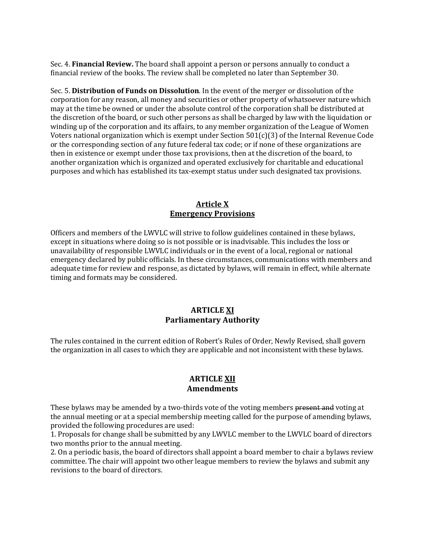**Sec. 4. Financial Review.** The board shall appoint a person or persons annually to conduct a financial review of the books. The review shall be completed no later than September 30.

Sec. 5. Distribution of Funds on Dissolution. In the event of the merger or dissolution of the corporation for any reason, all money and securities or other property of whatsoever nature which may at the time be owned or under the absolute control of the corporation shall be distributed at the discretion of the board, or such other persons as shall be charged by law with the liquidation or winding up of the corporation and its affairs, to any member organization of the League of Women Voters national organization which is exempt under Section  $501(c)(3)$  of the Internal Revenue Code or the corresponding section of any future federal tax code; or if none of these organizations are then in existence or exempt under those tax provisions, then at the discretion of the board, to another organization which is organized and operated exclusively for charitable and educational purposes and which has established its tax-exempt status under such designated tax provisions.

#### **Article X Emergency Provisions**

Officers and members of the LWVLC will strive to follow guidelines contained in these bylaws, except in situations where doing so is not possible or is inadvisable. This includes the loss or unavailability of responsible LWVLC individuals or in the event of a local, regional or national emergency declared by public officials. In these circumstances, communications with members and adequate time for review and response, as dictated by bylaws, will remain in effect, while alternate timing and formats may be considered.

## **ARTICLE XI Parliamentary Authority**

The rules contained in the current edition of Robert's Rules of Order, Newly Revised, shall govern the organization in all cases to which they are applicable and not inconsistent with these bylaws.

#### **ARTICLE XII Amendments**

These bylaws may be amended by a two-thirds vote of the voting members present and voting at the annual meeting or at a special membership meeting called for the purpose of amending bylaws, provided the following procedures are used:

1. Proposals for change shall be submitted by any LWVLC member to the LWVLC board of directors two months prior to the annual meeting.

2. On a periodic basis, the board of directors shall appoint a board member to chair a bylaws review committee. The chair will appoint two other league members to review the bylaws and submit any revisions to the board of directors.